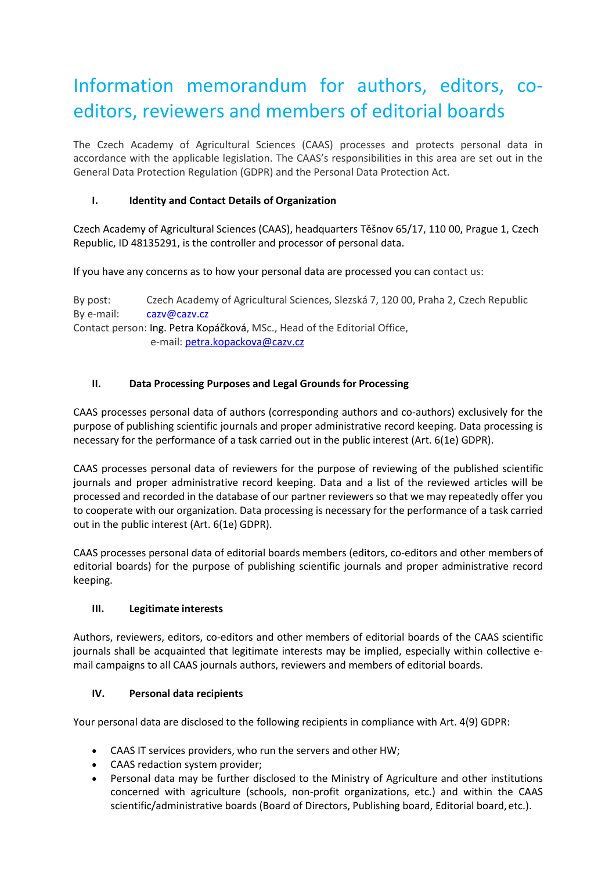# Information memorandum for authors, editors, coeditors, reviewers and members of editorial boards

The Czech Academy of Agricultural Sciences (CAAS) processes and protects personal data in accordance with the applicable legislation. The CAAS's responsibilities in this area are set out in the General Data Protection Regulation (GDPR) and the Personal Data Protection Act.

## **I. Identity and Contact Details of Organization**

Czech Academy of Agricultural Sciences (CAAS), headquarters Těšnov 65/17, 110 00, Prague 1, Czech Republic, ID 48135291, is the controller and processor of personal data.

If you have any concerns as to how your personal data are processed you can contact us:

By post: Czech Academy of Agricultural Sciences, Slezská 7, 120 00, Praha 2, Czech Republic By e-mail: [cazv@cazv.cz](mailto:cazv@cazv.cz) Contact person: Ing. Petra Kopáčková, MSc., Head of the Editorial Office, e-mail: [petra.kopackova@cazv.cz](mailto:petra.kopackova@cazv.cz)

## **II. Data Processing Purposes and Legal Grounds for Processing**

CAAS processes personal data of authors (corresponding authors and co-authors) exclusively for the purpose of publishing scientific journals and proper administrative record keeping. Data processing is necessary for the performance of a task carried out in the public interest (Art. 6(1e) GDPR).

CAAS processes personal data of reviewers for the purpose of reviewing of the published scientific journals and proper administrative record keeping. Data and a list of the reviewed articles will be processed and recorded in the database of our partner reviewers so that we may repeatedly offer you to cooperate with our organization. Data processing is necessary for the performance of a task carried out in the public interest (Art. 6(1e) GDPR).

CAAS processes personal data of editorial boards members (editors, co-editors and other members of editorial boards) for the purpose of publishing scientific journals and proper administrative record keeping.

#### **III. Legitimate interests**

Authors, reviewers, editors, co-editors and other members of editorial boards of the CAAS scientific journals shall be acquainted that legitimate interests may be implied, especially within collective email campaigns to all CAAS journals authors, reviewers and members of editorial boards.

#### **IV. Personal data recipients**

Your personal data are disclosed to the following recipients in compliance with Art. 4(9) GDPR:

- CAAS IT services providers, who run the servers and other HW;
- CAAS redaction system provider;
- Personal data may be further disclosed to the Ministry of Agriculture and other institutions concerned with agriculture (schools, non-profit organizations, etc.) and within the CAAS scientific/administrative boards (Board of Directors, Publishing board, Editorial board, etc.).